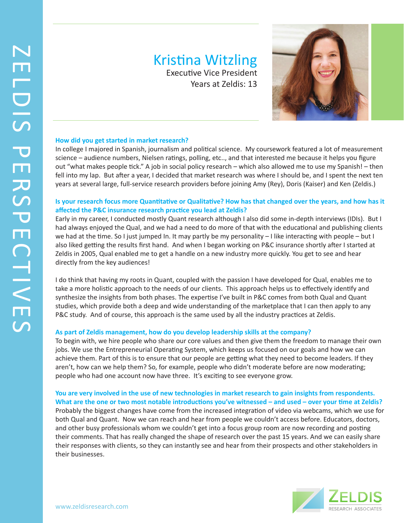# Kristina Witzling

Executive Vice President Years at Zeldis: 13



#### **How did you get started in market research?**

In college I majored in Spanish, journalism and political science. My coursework featured a lot of measurement science – audience numbers, Nielsen ratings, polling, etc.., and that interested me because it helps you figure out "what makes people tick." A job in social policy research – which also allowed me to use my Spanish! – then fell into my lap. But after a year, I decided that market research was where I should be, and I spent the next ten years at several large, full-service research providers before joining Amy (Rey), Doris (Kaiser) and Ken (Zeldis.)

### **Is your research focus more Quantitative or Qualitative? How has that changed over the years, and how has it affected the P&C insurance research practice you lead at Zeldis?**

Early in my career, I conducted mostly Quant research although I also did some in-depth interviews (IDIs). But I had always enjoyed the Qual, and we had a need to do more of that with the educational and publishing clients we had at the time. So I just jumped In. It may partly be my personality – I like interacting with people – but I also liked getting the results first hand. And when I began working on P&C insurance shortly after I started at Zeldis in 2005, Qual enabled me to get a handle on a new industry more quickly. You get to see and hear directly from the key audiences!

I do think that having my roots in Quant, coupled with the passion I have developed for Qual, enables me to take a more holistic approach to the needs of our clients. This approach helps us to effectively identify and synthesize the insights from both phases. The expertise I've built in P&C comes from both Qual and Quant studies, which provide both a deep and wide understanding of the marketplace that I can then apply to any P&C study. And of course, this approach is the same used by all the industry practices at Zeldis.

#### **As part of Zeldis management, how do you develop leadership skills at the company?**

To begin with, we hire people who share our core values and then give them the freedom to manage their own jobs. We use the Entrepreneurial Operating System, which keeps us focused on our goals and how we can achieve them. Part of this is to ensure that our people are getting what they need to become leaders. If they aren't, how can we help them? So, for example, people who didn't moderate before are now moderating; people who had one account now have three. It's exciting to see everyone grow.

**You are very involved in the use of new technologies in market research to gain insights from respondents. What are the one or two most notable introductions you've witnessed – and used – over your time at Zeldis?** Probably the biggest changes have come from the increased integration of video via webcams, which we use for both Qual and Quant. Now we can reach and hear from people we couldn't access before. Educators, doctors, and other busy professionals whom we couldn't get into a focus group room are now recording and posting their comments. That has really changed the shape of research over the past 15 years. And we can easily share their responses with clients, so they can instantly see and hear from their prospects and other stakeholders in their businesses.